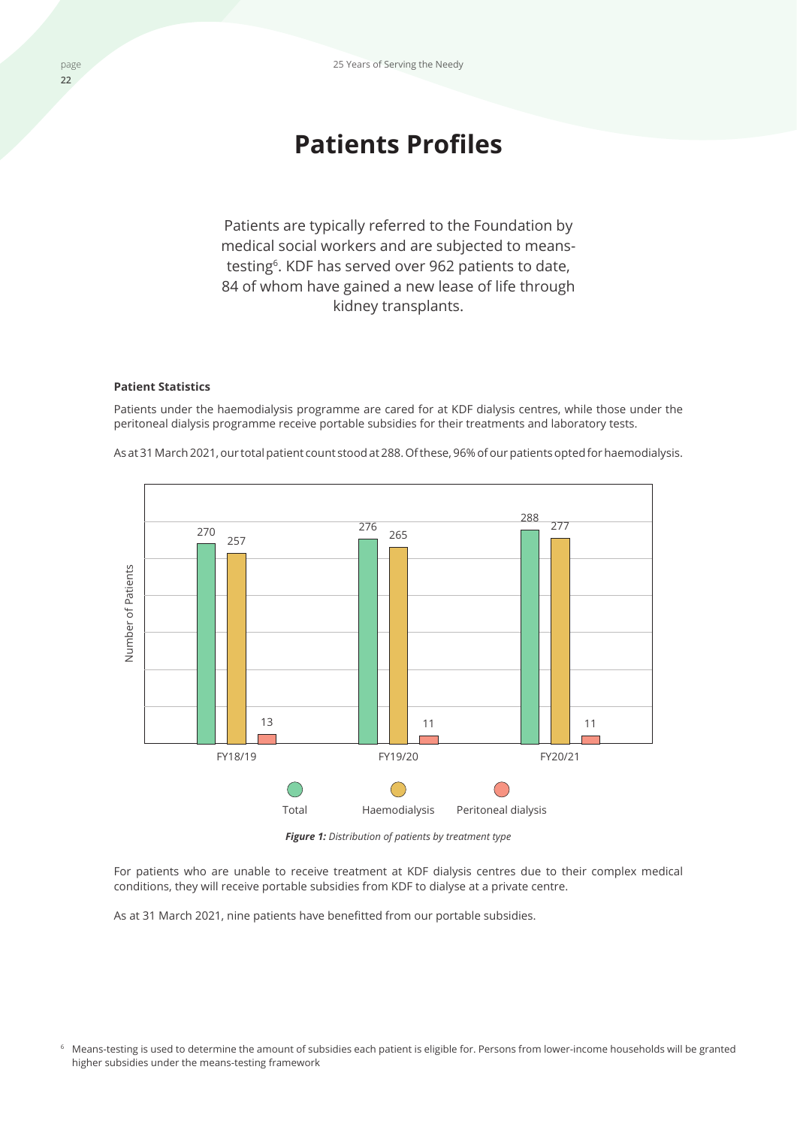# **Patients Profiles**

Patients are typically referred to the Foundation by medical social workers and are subjected to meanstesting<sup>6</sup>. KDF has served over 962 patients to date, 84 of whom have gained a new lease of life through kidney transplants.

# **Patient Statistics**

Patients under the haemodialysis programme are cared for at KDF dialysis centres, while those under the peritoneal dialysis programme receive portable subsidies for their treatments and laboratory tests.



As at 31 March 2021, our total patient count stood at 288. Of these, 96% of our patients opted for haemodialysis.

*Figure 1: Distribution of patients by treatment type*

For patients who are unable to receive treatment at KDF dialysis centres due to their complex medical conditions, they will receive portable subsidies from KDF to dialyse at a private centre.

As at 31 March 2021, nine patients have benefitted from our portable subsidies.

<sup>6</sup> Means-testing is used to determine the amount of subsidies each patient is eligible for. Persons from lower-income households will be granted higher subsidies under the means-testing framework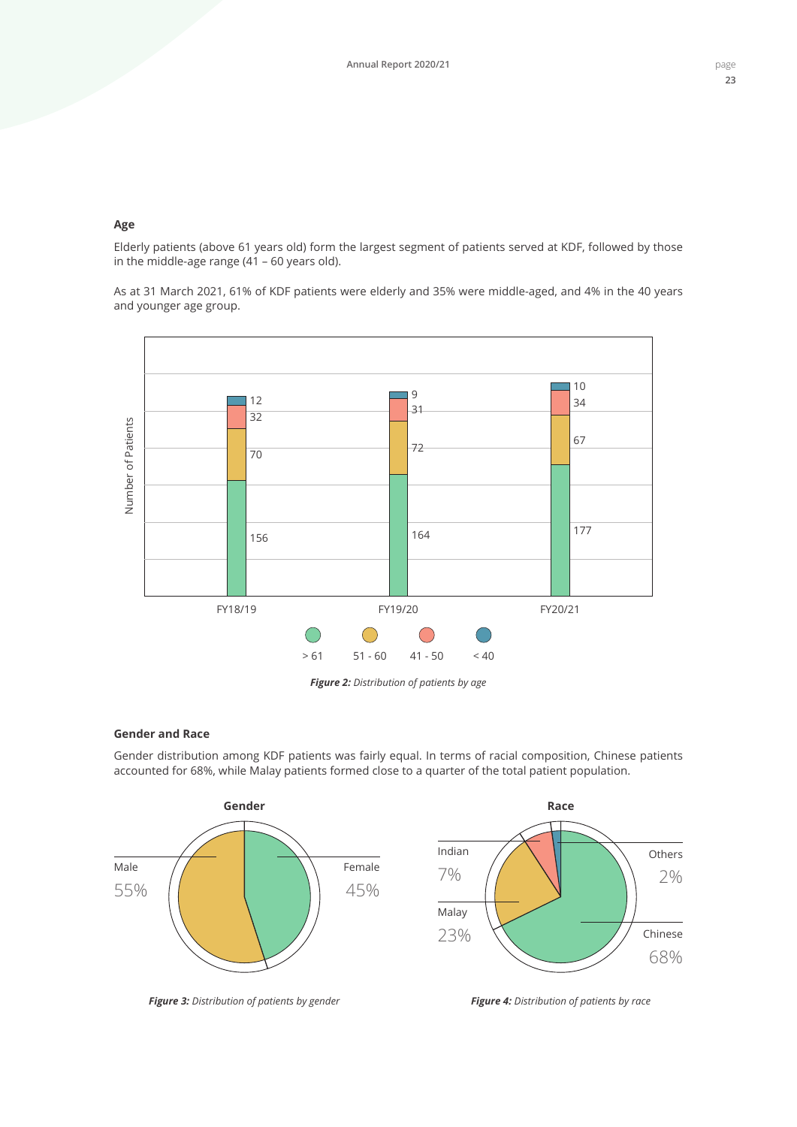## **Age**

Elderly patients (above 61 years old) form the largest segment of patients served at KDF, followed by those in the middle-age range (41 – 60 years old).

As at 31 March 2021, 61% of KDF patients were elderly and 35% were middle-aged, and 4% in the 40 years and younger age group.



*Figure 2: Distribution of patients by age*

#### **Gender and Race**

Gender distribution among KDF patients was fairly equal. In terms of racial composition, Chinese patients accounted for 68%, while Malay patients formed close to a quarter of the total patient population.



*Figure 3: Distribution of patients by gender*

*Figure 4: Distribution of patients by race*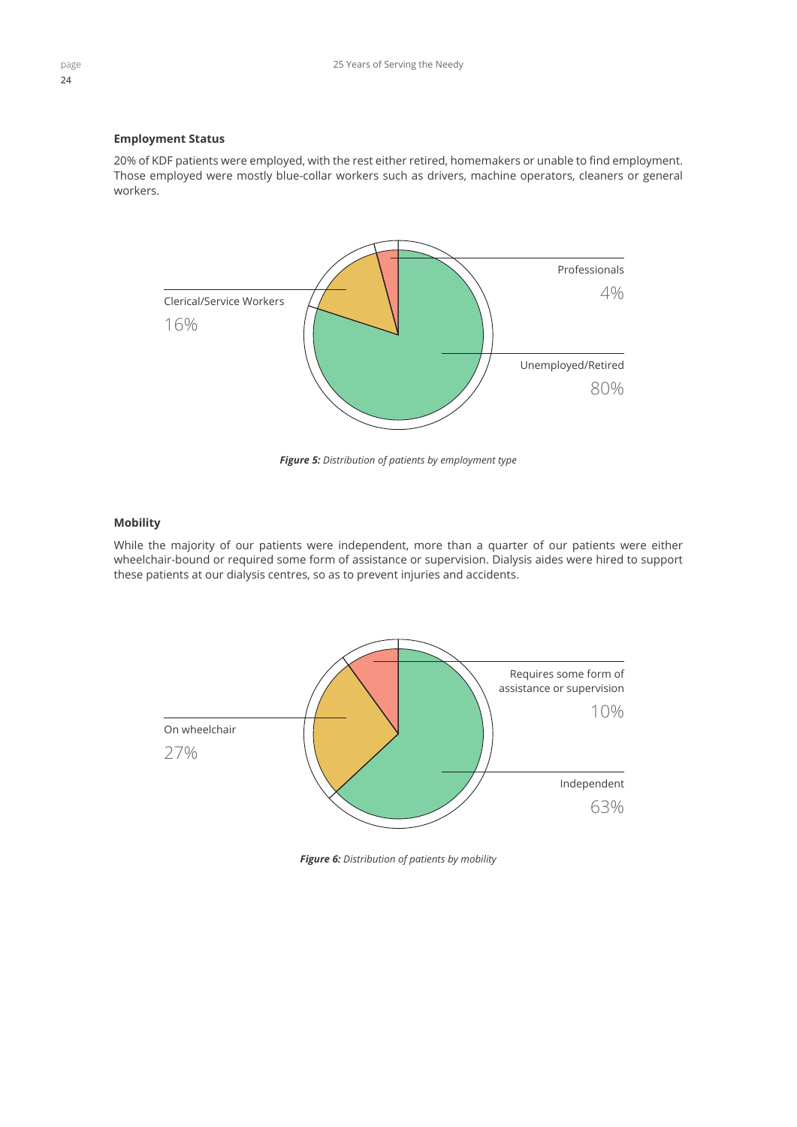# **Employment Status**

20% of KDF patients were employed, with the rest either retired, homemakers or unable to find employment. Those employed were mostly blue-collar workers such as drivers, machine operators, cleaners or general workers.



*Figure 5: Distribution of patients by employment type*

## **Mobility**

While the majority of our patients were independent, more than a quarter of our patients were either wheelchair-bound or required some form of assistance or supervision. Dialysis aides were hired to support these patients at our dialysis centres, so as to prevent injuries and accidents.



*Figure 6: Distribution of patients by mobility*